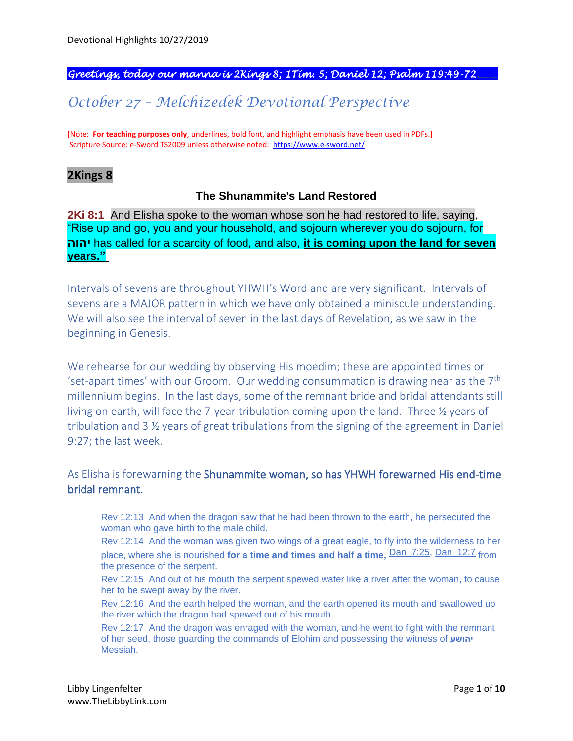#### *Greetings, today our manna is 2Kings 8; 1Tim. 5; Daniel 12; Psalm 119:49-72.\_\_\_\_*

# *October 27 – Melchizedek Devotional Perspective*

[Note: **For teaching purposes only**, underlines, bold font, and highlight emphasis have been used in PDFs.] Scripture Source: e-Sword TS2009 unless otherwise noted: <https://www.e-sword.net/>

### **2Kings 8**

#### **The Shunammite's Land Restored**

**2Ki 8:1** And Elisha spoke to the woman whose son he had restored to life, saying, "Rise up and go, you and your household, and sojourn wherever you do sojourn, for **יהוה** has called for a scarcity of food, and also, **it is coming upon the land for seven years."**

Intervals of sevens are throughout YHWH's Word and are very significant. Intervals of sevens are a MAJOR pattern in which we have only obtained a miniscule understanding. We will also see the interval of seven in the last days of Revelation, as we saw in the beginning in Genesis.

We rehearse for our wedding by observing His moedim; these are appointed times or 'set-apart times' with our Groom. Our wedding consummation is drawing near as the  $7<sup>th</sup>$ millennium begins. In the last days, some of the remnant bride and bridal attendants still living on earth, will face the 7-year tribulation coming upon the land. Three ½ years of tribulation and 3 ½ years of great tribulations from the signing of the agreement in Daniel 9:27; the last week.

As Elisha is forewarning the Shunammite woman, so has YHWH forewarned His end-time bridal remnant.

Rev 12:13 And when the dragon saw that he had been thrown to the earth, he persecuted the woman who gave birth to the male child.

Rev 12:14 And the woman was given two wings of a great eagle, to fly into the wilderness to her place, where she is nourished **for a time and times and half a time**, **Dan\_7:25**, Dan\_12:7 from the presence of the serpent.

Rev 12:15 And out of his mouth the serpent spewed water like a river after the woman, to cause her to be swept away by the river.

Rev 12:16 And the earth helped the woman, and the earth opened its mouth and swallowed up the river which the dragon had spewed out of his mouth.

Rev 12:17 And the dragon was enraged with the woman, and he went to fight with the remnant of her seed, those guarding the commands of Elohim and possessing the witness of **יהושע** Messiah.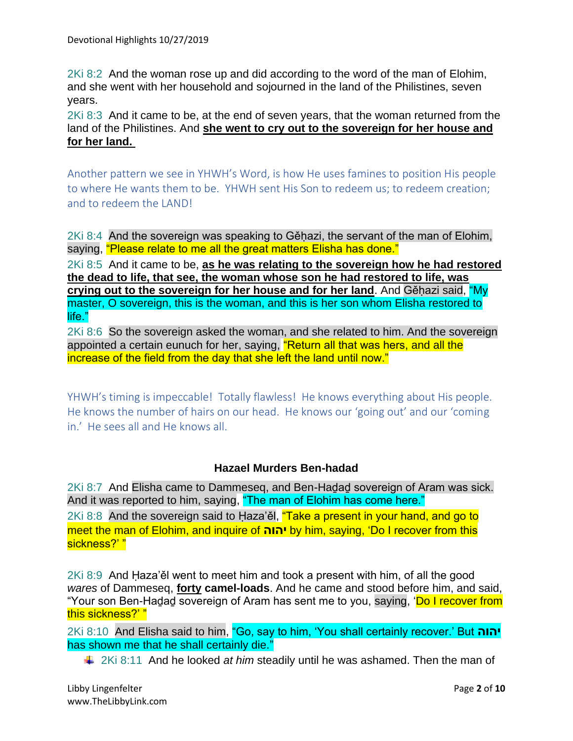2Ki 8:2 And the woman rose up and did according to the word of the man of Elohim, and she went with her household and sojourned in the land of the Philistines, seven years.

2Ki 8:3 And it came to be, at the end of seven years, that the woman returned from the land of the Philistines. And **she went to cry out to the sovereign for her house and for her land.**

Another pattern we see in YHWH's Word, is how He uses famines to position His people to where He wants them to be. YHWH sent His Son to redeem us; to redeem creation; and to redeem the LAND!

2Ki 8:4 And the sovereign was speaking to Gěḥazi, the servant of the man of Elohim, saying, "Please relate to me all the great matters Elisha has done."

2Ki 8:5 And it came to be, **as he was relating to the sovereign how he had restored the dead to life, that see, the woman whose son he had restored to life, was crying out to the sovereign for her house and for her land**. And Gěḥazi said, "My master, O sovereign, this is the woman, and this is her son whom Elisha restored to life."

2Ki 8:6 So the sovereign asked the woman, and she related to him. And the sovereign appointed a certain eunuch for her, saying, "Return all that was hers, and all the increase of the field from the day that she left the land until now."

YHWH's timing is impeccable! Totally flawless! He knows everything about His people. He knows the number of hairs on our head. He knows our 'going out' and our 'coming in.' He sees all and He knows all.

### **Hazael Murders Ben-hadad**

2Ki 8:7 And Elisha came to Dammeseq, and Ben-Haḏaḏ sovereign of Aram was sick. And it was reported to him, saying, "The man of Elohim has come here." 2Ki 8:8 And the sovereign said to Haza'ěl, "Take a present in your hand, and go to

meet the man of Elohim, and inquire of **יהוה** by him, saying, 'Do I recover from this sickness?' "

2Ki 8:9 And Ḥaza'ěl went to meet him and took a present with him, of all the good *wares* of Dammeseq, **forty camel-loads**. And he came and stood before him, and said, "Your son Ben-Haḍaḍ sovereign of Aram has sent me to you, saying, '<mark>Do I recover from</mark> this sickness?' "

2Ki 8:10 And Elisha said to him, "Go, say to him, 'You shall certainly recover.' But **יהוה** has shown me that he shall certainly die."

2Ki 8:11 And he looked *at him* steadily until he was ashamed. Then the man of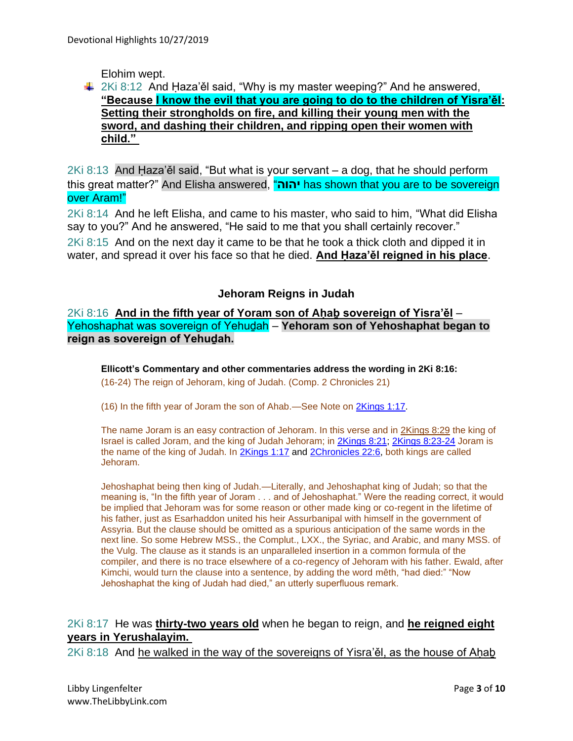Elohim wept.

## $\downarrow$  2Ki 8:12 And Haza'ěl said, "Why is my master weeping?" And he answered, **"Because I know the evil that you are going to do to the children of Yisra'ěl: Setting their strongholds on fire, and killing their young men with the sword, and dashing their children, and ripping open their women with child."**

2Ki 8:13 And Ḥaza'ěl said, "But what is your servant – a dog, that he should perform this great matter?" And Elisha answered, "**יהוה** has shown that you are to be sovereign over Aram!"

2Ki 8:14 And he left Elisha, and came to his master, who said to him, "What did Elisha say to you?" And he answered, "He said to me that you shall certainly recover."

2Ki 8:15 And on the next day it came to be that he took a thick cloth and dipped it in water, and spread it over his face so that he died. **And Ḥaza'ěl reigned in his place**.

### **Jehoram Reigns in Judah**

2Ki 8:16 **And in the fifth year of Yoram son of Aḥaḇ sovereign of Yisra'ěl** – Yehoshaphat was sovereign of Yehuḏah – **Yehoram son of Yehoshaphat began to reign as sovereign of Yehuḏah.**

**Ellicott's Commentary and other commentaries address the wording in 2Ki 8:16:**

(16-24) The reign of Jehoram, king of Judah. (Comp. 2 Chronicles 21)

(16) In the fifth year of Joram the son of Ahab.—See Note on [2Kings 1:17.](https://biblehub.com/2_kings/1-17.htm)

The name Joram is an easy contraction of Jehoram. In this verse and in [2Kings 8:29](https://biblehub.com/2_kings/8-29.htm) the king of Israel is called Joram, and the king of Judah Jehoram; in [2Kings 8:21;](https://biblehub.com/2_kings/8-21.htm) [2Kings 8:23-24](https://biblehub.com/context/2_kings/8-23.htm) Joram is the name of the king of Judah. In [2Kings 1:17](https://biblehub.com/2_kings/1-17.htm) and [2Chronicles 22:6,](https://biblehub.com/2_chronicles/22-6.htm) both kings are called Jehoram.

Jehoshaphat being then king of Judah.—Literally, and Jehoshaphat king of Judah; so that the meaning is, "In the fifth year of Joram . . . and of Jehoshaphat." Were the reading correct, it would be implied that Jehoram was for some reason or other made king or co-regent in the lifetime of his father, just as Esarhaddon united his heir Assurbanipal with himself in the government of Assyria. But the clause should be omitted as a spurious anticipation of the same words in the next line. So some Hebrew MSS., the Complut., LXX., the Syriac, and Arabic, and many MSS. of the Vulg. The clause as it stands is an unparalleled insertion in a common formula of the compiler, and there is no trace elsewhere of a co-regency of Jehoram with his father. Ewald, after Kimchi, would turn the clause into a sentence, by adding the word mêth, "had died:" "Now Jehoshaphat the king of Judah had died," an utterly superfluous remark.

2Ki 8:17 He was **thirty-two years old** when he began to reign, and **he reigned eight years in Yerushalayim.**

 $2Ki$  8:18 And he walked in the way of the sovereigns of Yisra'ěl, as the house of Ahab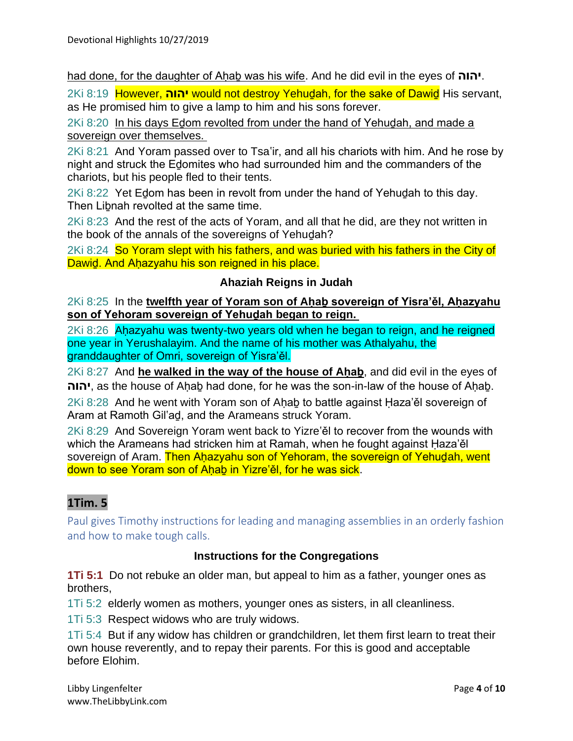had done, for the daughter of Aḥaḇ was his wife. And he did evil in the eyes of **יהוה**.

2Ki 8:19 However, **יהוה** would not destroy Yehuḏah, for the sake of Dawiḏ His servant, as He promised him to give a lamp to him and his sons forever.

2Ki 8:20 In his days Edom revolted from under the hand of Yehudah, and made a sovereign over themselves.

2Ki 8:21 And Yoram passed over to Tsa'ir, and all his chariots with him. And he rose by night and struck the Eḏomites who had surrounded him and the commanders of the chariots, but his people fled to their tents.

2Ki 8:22 Yet Edom has been in revolt from under the hand of Yehudah to this day. Then Liḇnah revolted at the same time.

2Ki 8:23 And the rest of the acts of Yoram, and all that he did, are they not written in the book of the annals of the sovereigns of Yehuḏah?

2Ki 8:24 So Yoram slept with his fathers, and was buried with his fathers in the City of Dawid. And Ahazyahu his son reigned in his place.

# **Ahaziah Reigns in Judah**

2Ki 8:25 In the **twelfth year of Yoram son of Aḥaḇ sovereign of Yisra'ěl, Aḥazyahu son of Yehoram sovereign of Yehuḏah began to reign.**

2Ki 8:26 Aḥazyahu was twenty-two years old when he began to reign, and he reigned one year in Yerushalayim. And the name of his mother was Athalyahu, the granddaughter of Omri, sovereign of Yisra'ěl.

2Ki 8:27 And **he walked in the way of the house of Ahab**, and did evil in the eyes of **יהוה**, as the house of Aḥaḇ had done, for he was the son-in-law of the house of Aḥaḇ.

2Ki 8:28 And he went with Yoram son of Ahab to battle against Haza'ěl sovereign of Aram at Ramoth Gil'aḏ, and the Arameans struck Yoram.

2Ki 8:29 And Sovereign Yoram went back to Yizre'ěl to recover from the wounds with which the Arameans had stricken him at Ramah, when he fought against Ḥaza'ěl sovereign of Aram. Then Ahazyahu son of Yehoram, the sovereign of Yehudah, went down to see Yoram son of Ahab in Yizre'ěl, for he was sick.

# **1Tim. 5**

Paul gives Timothy instructions for leading and managing assemblies in an orderly fashion and how to make tough calls.

### **Instructions for the Congregations**

**1Ti 5:1** Do not rebuke an older man, but appeal to him as a father, younger ones as brothers,

1Ti 5:2 elderly women as mothers, younger ones as sisters, in all cleanliness.

1Ti 5:3 Respect widows who are truly widows.

1Ti 5:4 But if any widow has children or grandchildren, let them first learn to treat their own house reverently, and to repay their parents. For this is good and acceptable before Elohim.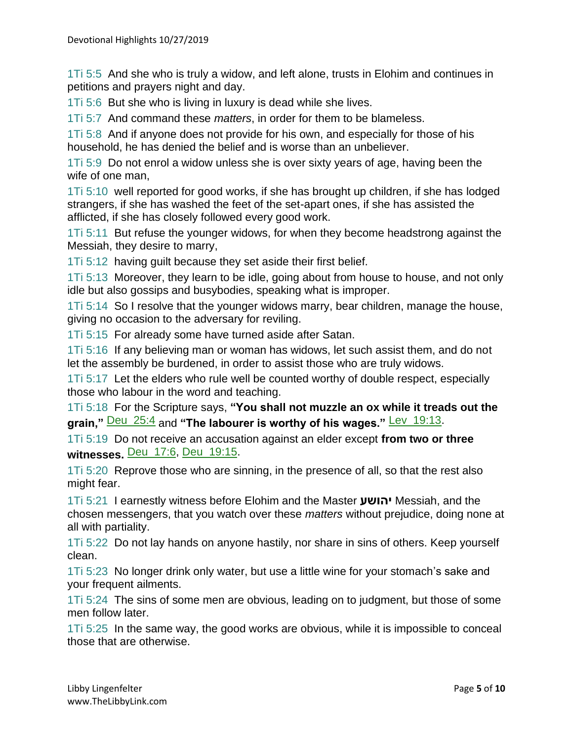1Ti 5:5 And she who is truly a widow, and left alone, trusts in Elohim and continues in petitions and prayers night and day.

1Ti 5:6 But she who is living in luxury is dead while she lives.

1Ti 5:7 And command these *matters*, in order for them to be blameless.

1Ti 5:8 And if anyone does not provide for his own, and especially for those of his household, he has denied the belief and is worse than an unbeliever.

1Ti 5:9 Do not enrol a widow unless she is over sixty years of age, having been the wife of one man,

1Ti 5:10 well reported for good works, if she has brought up children, if she has lodged strangers, if she has washed the feet of the set-apart ones, if she has assisted the afflicted, if she has closely followed every good work.

1Ti 5:11 But refuse the younger widows, for when they become headstrong against the Messiah, they desire to marry,

1Ti 5:12 having guilt because they set aside their first belief.

1Ti 5:13 Moreover, they learn to be idle, going about from house to house, and not only idle but also gossips and busybodies, speaking what is improper.

1Ti 5:14 So I resolve that the younger widows marry, bear children, manage the house, giving no occasion to the adversary for reviling.

1Ti 5:15 For already some have turned aside after Satan.

1Ti 5:16 If any believing man or woman has widows, let such assist them, and do not let the assembly be burdened, in order to assist those who are truly widows.

1Ti 5:17 Let the elders who rule well be counted worthy of double respect, especially those who labour in the word and teaching.

1Ti 5:18 For the Scripture says, **"You shall not muzzle an ox while it treads out the grain,"** Deu\_25:4 and **"The labourer is worthy of his wages."** Lev\_19:13.

1Ti 5:19 Do not receive an accusation against an elder except **from two or three witnesses.** Deu\_17:6, Deu\_19:15.

1Ti 5:20 Reprove those who are sinning, in the presence of all, so that the rest also might fear.

1Ti 5:21 I earnestly witness before Elohim and the Master **יהושע** Messiah, and the chosen messengers, that you watch over these *matters* without prejudice, doing none at all with partiality.

1Ti 5:22 Do not lay hands on anyone hastily, nor share in sins of others. Keep yourself clean.

1Ti 5:23 No longer drink only water, but use a little wine for your stomach's sake and your frequent ailments.

1Ti 5:24 The sins of some men are obvious, leading on to judgment, but those of some men follow later.

1Ti 5:25 In the same way, the good works are obvious, while it is impossible to conceal those that are otherwise.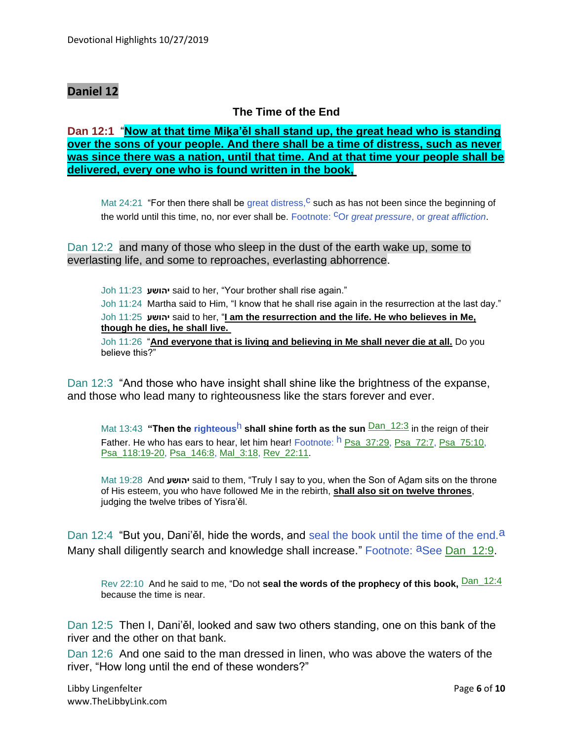## **Daniel 12**

# **The Time of the End**

**Dan 12:1** "**Now at that time Miḵa'ěl shall stand up, the great head who is standing over the sons of your people. And there shall be a time of distress, such as never was since there was a nation, until that time. And at that time your people shall be delivered, every one who is found written in the book,**

Mat 24:21 "For then there shall be great distress,  $c$  such as has not been since the beginning of the world until this time, no, nor ever shall be. Footnote: cOr *great pressure*, or *great affliction*.

Dan 12:2 and many of those who sleep in the dust of the earth wake up, some to everlasting life, and some to reproaches, everlasting abhorrence.

Joh 11:23 **יהושע** said to her, "Your brother shall rise again."

Joh 11:24 Martha said to Him, "I know that he shall rise again in the resurrection at the last day." Joh 11:25 **יהושע** said to her, "**I am the resurrection and the life. He who believes in Me, though he dies, he shall live.**

Joh 11:26 "**And everyone that is living and believing in Me shall never die at all.** Do you believe this?"

Dan 12:3 "And those who have insight shall shine like the brightness of the expanse, and those who lead many to righteousness like the stars forever and ever.

Mat 13:43 **"Then the righteous<sup>h</sup> shall shine forth as the sun <b>Dan 12:3** in the reign of their Father. He who has ears to hear, let him hear! Footnote: <sup>h</sup> Psa\_37:29, Psa\_72:7, Psa\_75:10, Psa\_118:19-20, Psa\_146:8, Mal\_3:18, Rev\_22:11.

Mat 19:28 And **יהושע** said to them, "Truly I say to you, when the Son of Aḏam sits on the throne of His esteem, you who have followed Me in the rebirth, **shall also sit on twelve thrones**, judging the twelve tribes of Yisra'ěl.

Dan 12:4 "But you, Dani'ěl, hide the words, and seal the book until the time of the end.<sup>a</sup> Many shall diligently search and knowledge shall increase." Footnote: aSee Dan 12:9.

Rev 22:10 And he said to me, "Do not **seal the words of the prophecy of this book**, **Dan** 12:4 because the time is near.

Dan 12:5 Then I, Dani'ěl, looked and saw two others standing, one on this bank of the river and the other on that bank.

Dan 12:6 And one said to the man dressed in linen, who was above the waters of the river, "How long until the end of these wonders?"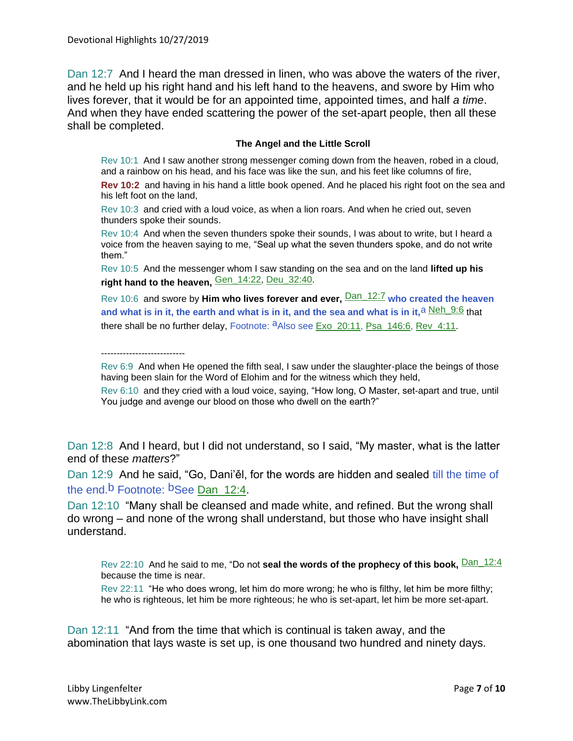Dan 12:7 And I heard the man dressed in linen, who was above the waters of the river, and he held up his right hand and his left hand to the heavens, and swore by Him who lives forever, that it would be for an appointed time, appointed times, and half *a time*. And when they have ended scattering the power of the set-apart people, then all these shall be completed.

#### **The Angel and the Little Scroll**

Rev 10:1 And I saw another strong messenger coming down from the heaven, robed in a cloud, and a rainbow on his head, and his face was like the sun, and his feet like columns of fire,

**Rev 10:2** and having in his hand a little book opened. And he placed his right foot on the sea and his left foot on the land,

Rev 10:3 and cried with a loud voice, as when a lion roars. And when he cried out, seven thunders spoke their sounds.

Rev 10:4 And when the seven thunders spoke their sounds, I was about to write, but I heard a voice from the heaven saying to me, "Seal up what the seven thunders spoke, and do not write them."

Rev 10:5 And the messenger whom I saw standing on the sea and on the land **lifted up his right hand to the heaven,** Gen\_14:22, Deu\_32:40.

Rev 10:6 and swore by **Him who lives forever and ever,** Dan\_12:7 **who created the heaven**  and what is in it, the earth and what is in it, and the sea and what is in it, <sup>a Neh 9:6</sup> that there shall be no further delay, Footnote:  $a$ Also see Exo 20:11, Psa 146:6, Rev 4:11.

---------------------------

Rev 6:9 And when He opened the fifth seal, I saw under the slaughter-place the beings of those having been slain for the Word of Elohim and for the witness which they held,

Rev 6:10 and they cried with a loud voice, saying, "How long, O Master, set-apart and true, until You judge and avenge our blood on those who dwell on the earth?"

Dan 12:8 And I heard, but I did not understand, so I said, "My master, what is the latter end of these *matters*?"

Dan 12:9 And he said, "Go, Dani'ěl, for the words are hidden and sealed till the time of the end.<sup>b</sup> Footnote: <sup>b</sup>See Dan 12:4.

Dan 12:10 "Many shall be cleansed and made white, and refined. But the wrong shall do wrong – and none of the wrong shall understand, but those who have insight shall understand.

Rev 22:10 And he said to me, "Do not **seal the words of the prophecy of this book**, **Dan\_12:4** because the time is near.

Rev 22:11 "He who does wrong, let him do more wrong; he who is filthy, let him be more filthy; he who is righteous, let him be more righteous; he who is set-apart, let him be more set-apart.

Dan 12:11 "And from the time that which is continual is taken away, and the abomination that lays waste is set up, is one thousand two hundred and ninety days.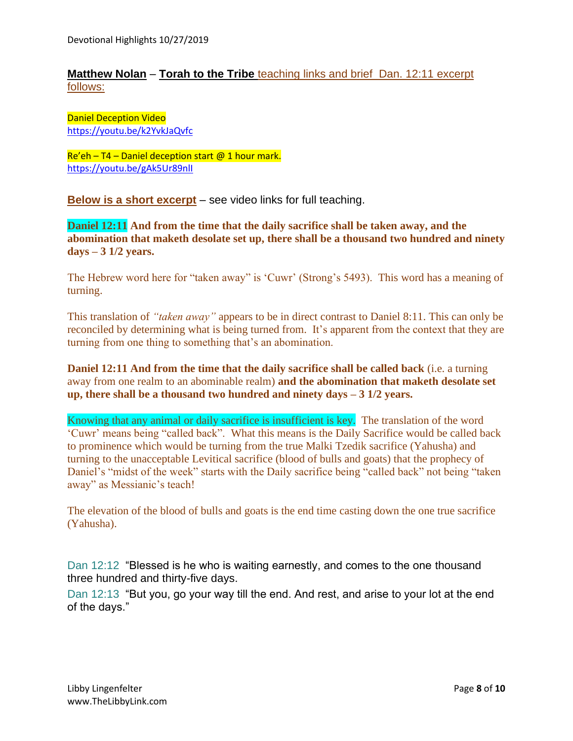### **Matthew Nolan** – **Torah to the Tribe** teaching links and brief Dan. 12:11 excerpt follows:

Daniel Deception Video <https://youtu.be/k2YvkJaQvfc>

 $Re'eh - T4 - Daniel deception start @ 1 hour mark.$ <https://youtu.be/gAk5Ur89nlI>

**Below is a short excerpt** – see video links for full teaching.

**Daniel 12:11 And from the time that the daily sacrifice shall be taken away, and the abomination that maketh desolate set up, there shall be a thousand two hundred and ninety days – 3 1/2 years.**

The Hebrew word here for "taken away" is 'Cuwr' (Strong's 5493). This word has a meaning of turning.

This translation of *"taken away"* appears to be in direct contrast to Daniel 8:11. This can only be reconciled by determining what is being turned from. It's apparent from the context that they are turning from one thing to something that's an abomination.

**Daniel 12:11 And from the time that the daily sacrifice shall be called back** (i.e. a turning away from one realm to an abominable realm) **and the abomination that maketh desolate set up, there shall be a thousand two hundred and ninety days – 3 1/2 years.**

Knowing that any animal or daily sacrifice is insufficient is key. The translation of the word 'Cuwr' means being "called back". What this means is the Daily Sacrifice would be called back to prominence which would be turning from the true Malki Tzedik sacrifice (Yahusha) and turning to the unacceptable Levitical sacrifice (blood of bulls and goats) that the prophecy of Daniel's "midst of the week" starts with the Daily sacrifice being "called back" not being "taken away" as Messianic's teach!

The elevation of the blood of bulls and goats is the end time casting down the one true sacrifice (Yahusha).

Dan 12:12 "Blessed is he who is waiting earnestly, and comes to the one thousand three hundred and thirty-five days.

Dan 12:13 "But you, go your way till the end. And rest, and arise to your lot at the end of the days."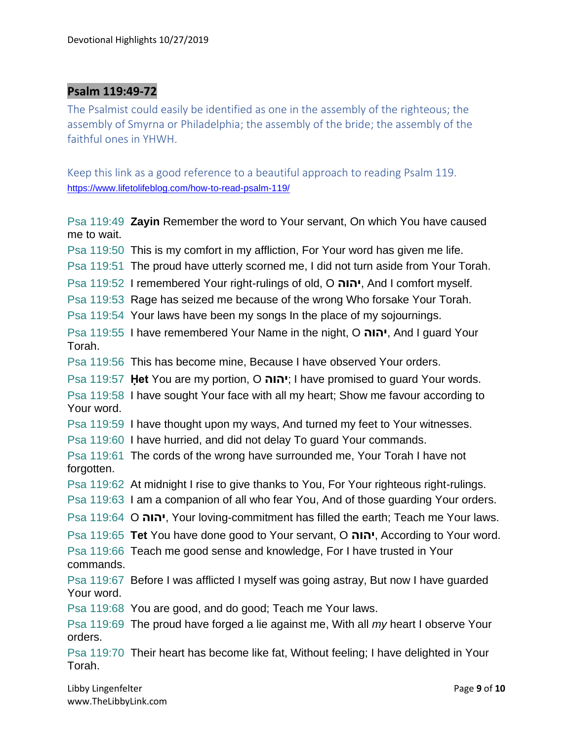## **Psalm 119:49-72**

The Psalmist could easily be identified as one in the assembly of the righteous; the assembly of Smyrna or Philadelphia; the assembly of the bride; the assembly of the faithful ones in YHWH.

Keep this link as a good reference to a beautiful approach to reading Psalm 119. <https://www.lifetolifeblog.com/how-to-read-psalm-119/>

Psa 119:49 **Zayin** Remember the word to Your servant, On which You have caused me to wait. Psa 119:50 This is my comfort in my affliction, For Your word has given me life. Psa 119:51 The proud have utterly scorned me, I did not turn aside from Your Torah. Psa 119:52 I remembered Your right-rulings of old, O **יהוה**, And I comfort myself. Psa 119:53 Rage has seized me because of the wrong Who forsake Your Torah. Psa 119:54 Your laws have been my songs In the place of my sojournings. Psa 119:55 I have remembered Your Name in the night, O **יהוה**, And I guard Your Torah. Psa 119:56 This has become mine, Because I have observed Your orders. Psa 119:57 **Ḥet** You are my portion, O **יהוה** ;I have promised to guard Your words. Psa 119:58 I have sought Your face with all my heart; Show me favour according to Your word. Psa 119:59 I have thought upon my ways, And turned my feet to Your witnesses. Psa 119:60 I have hurried, and did not delay To guard Your commands. Psa 119:61 The cords of the wrong have surrounded me, Your Torah I have not forgotten. Psa 119:62 At midnight I rise to give thanks to You, For Your righteous right-rulings. Psa 119:63 I am a companion of all who fear You, And of those guarding Your orders. Psa 119:64 O **יהוה**, Your loving-commitment has filled the earth; Teach me Your laws. Psa 119:65 **Tet** You have done good to Your servant, O **יהוה**, According to Your word. Psa 119:66 Teach me good sense and knowledge, For I have trusted in Your commands. Psa 119:67 Before I was afflicted I myself was going astray, But now I have guarded Your word. Psa 119:68 You are good, and do good; Teach me Your laws. Psa 119:69 The proud have forged a lie against me, With all *my* heart I observe Your orders. Psa 119:70 Their heart has become like fat, Without feeling; I have delighted in Your Torah.